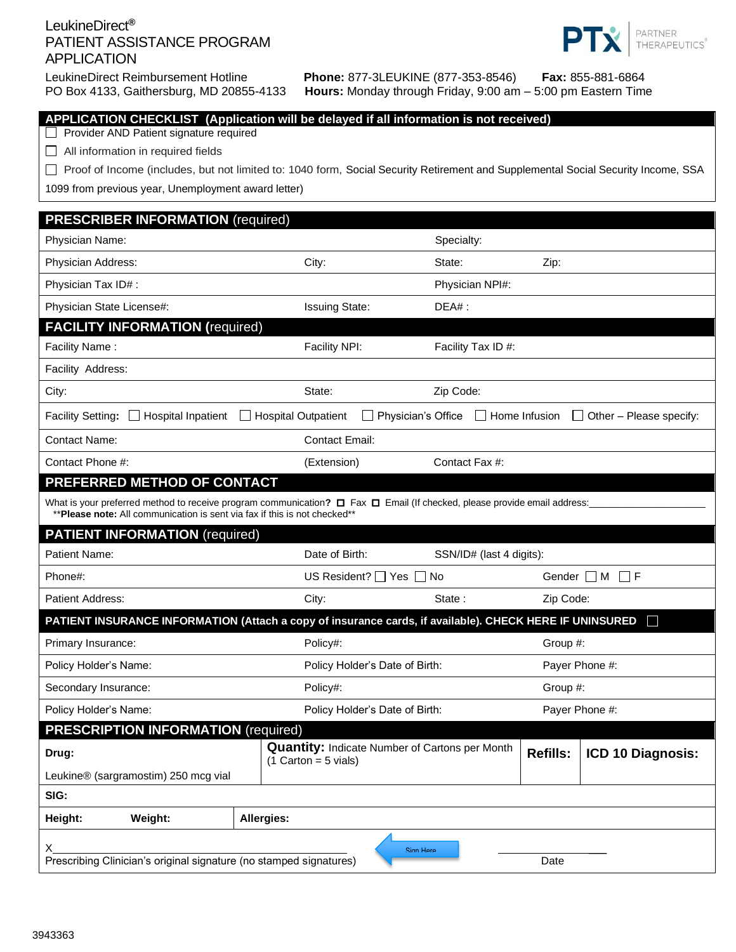## LeukineDirect**®** PATIENT ASSISTANCE PROGRAM APPLICATION



LeukineDirect Reimbursement Hotline **Phone:** 877-3LEUKINE (877-353-8546) **Fax:** 855-881-6864 Hours: Monday through Friday, 9:00 am – 5:00 pm Eastern Time

| C                                                                                                                                                                                                      |            | <b>Trout of Monday anoagh Friday, 0.00 and</b>                                  |                    |                |                          |                 |                                |  |
|--------------------------------------------------------------------------------------------------------------------------------------------------------------------------------------------------------|------------|---------------------------------------------------------------------------------|--------------------|----------------|--------------------------|-----------------|--------------------------------|--|
| APPLICATION CHECKLIST (Application will be delayed if all information is not received)<br>Provider AND Patient signature required                                                                      |            |                                                                                 |                    |                |                          |                 |                                |  |
| All information in required fields                                                                                                                                                                     |            |                                                                                 |                    |                |                          |                 |                                |  |
| Proof of Income (includes, but not limited to: 1040 form, Social Security Retirement and Supplemental Social Security Income, SSA                                                                      |            |                                                                                 |                    |                |                          |                 |                                |  |
| 1099 from previous year, Unemployment award letter)                                                                                                                                                    |            |                                                                                 |                    |                |                          |                 |                                |  |
| <b>PRESCRIBER INFORMATION (required)</b>                                                                                                                                                               |            |                                                                                 |                    |                |                          |                 |                                |  |
| Physician Name:                                                                                                                                                                                        |            |                                                                                 |                    | Specialty:     |                          |                 |                                |  |
| Physician Address:                                                                                                                                                                                     |            | City:                                                                           |                    | State:         |                          | Zip:            |                                |  |
|                                                                                                                                                                                                        |            |                                                                                 |                    |                |                          |                 |                                |  |
| Physician Tax ID#:                                                                                                                                                                                     |            |                                                                                 |                    |                | Physician NPI#:          |                 |                                |  |
| Physician State License#:<br><b>FACILITY INFORMATION (required)</b>                                                                                                                                    |            | <b>Issuing State:</b>                                                           |                    | $DEA#$ :       |                          |                 |                                |  |
| Facility Name:                                                                                                                                                                                         |            | Facility NPI:                                                                   |                    |                | Facility Tax ID #:       |                 |                                |  |
| Facility Address:                                                                                                                                                                                      |            |                                                                                 |                    |                |                          |                 |                                |  |
| City:                                                                                                                                                                                                  |            | State:                                                                          |                    | Zip Code:      |                          |                 |                                |  |
|                                                                                                                                                                                                        |            |                                                                                 |                    |                |                          |                 |                                |  |
| <b>Facility Setting:</b><br>$\Box$ Hospital Inpatient                                                                                                                                                  |            | Hospital Outpatient                                                             | Physician's Office |                | $\Box$ Home Infusion     |                 | $\Box$ Other – Please specify: |  |
| <b>Contact Name:</b>                                                                                                                                                                                   |            | <b>Contact Email:</b>                                                           |                    |                |                          |                 |                                |  |
| Contact Phone #:                                                                                                                                                                                       |            | (Extension)                                                                     |                    | Contact Fax #: |                          |                 |                                |  |
| PREFERRED METHOD OF CONTACT                                                                                                                                                                            |            |                                                                                 |                    |                |                          |                 |                                |  |
| What is your preferred method to receive program communication? □ Fax □ Email (If checked, please provide email address:<br>** Please note: All communication is sent via fax if this is not checked** |            |                                                                                 |                    |                |                          |                 |                                |  |
| <b>PATIENT INFORMATION</b> (required)                                                                                                                                                                  |            |                                                                                 |                    |                |                          |                 |                                |  |
| Patient Name:                                                                                                                                                                                          |            | Date of Birth:                                                                  |                    |                | SSN/ID# (last 4 digits): |                 |                                |  |
| Phone#:                                                                                                                                                                                                |            | US Resident? $\Box$ Yes $\Box$                                                  |                    | No             |                          | Gender M        | $\Box$ F                       |  |
| <b>Patient Address:</b>                                                                                                                                                                                |            | City:                                                                           |                    | State:         |                          | Zip Code:       |                                |  |
| PATIENT INSURANCE INFORMATION (Attach a copy of insurance cards, if available). CHECK HERE IF UNINSURED                                                                                                |            |                                                                                 |                    |                |                          |                 | H                              |  |
| Primary Insurance:                                                                                                                                                                                     |            | Policy#:                                                                        |                    |                |                          | Group #:        |                                |  |
| Policy Holder's Name:                                                                                                                                                                                  |            | Policy Holder's Date of Birth:                                                  |                    |                |                          | Payer Phone #:  |                                |  |
| Secondary Insurance:                                                                                                                                                                                   |            | Policy#:                                                                        |                    |                |                          | Group #:        |                                |  |
| Policy Holder's Name:                                                                                                                                                                                  |            | Policy Holder's Date of Birth:                                                  |                    |                |                          |                 | Payer Phone #:                 |  |
| <b>PRESCRIPTION INFORMATION (required)</b>                                                                                                                                                             |            |                                                                                 |                    |                |                          |                 |                                |  |
| Drug:                                                                                                                                                                                                  |            | <b>Quantity: Indicate Number of Cartons per Month</b><br>$(1$ Carton = 5 vials) |                    |                |                          | <b>Refills:</b> | ICD 10 Diagnosis:              |  |
| Leukine® (sargramostim) 250 mcg vial                                                                                                                                                                   |            |                                                                                 |                    |                |                          |                 |                                |  |
| SIG:                                                                                                                                                                                                   |            |                                                                                 |                    |                |                          |                 |                                |  |
| Weight:<br>Height:                                                                                                                                                                                     | Allergies: |                                                                                 |                    |                |                          |                 |                                |  |
| х<br>Sinn Hara                                                                                                                                                                                         |            |                                                                                 |                    |                |                          |                 |                                |  |
| Prescribing Clinician's original signature (no stamped signatures)<br>Date                                                                                                                             |            |                                                                                 |                    |                |                          |                 |                                |  |